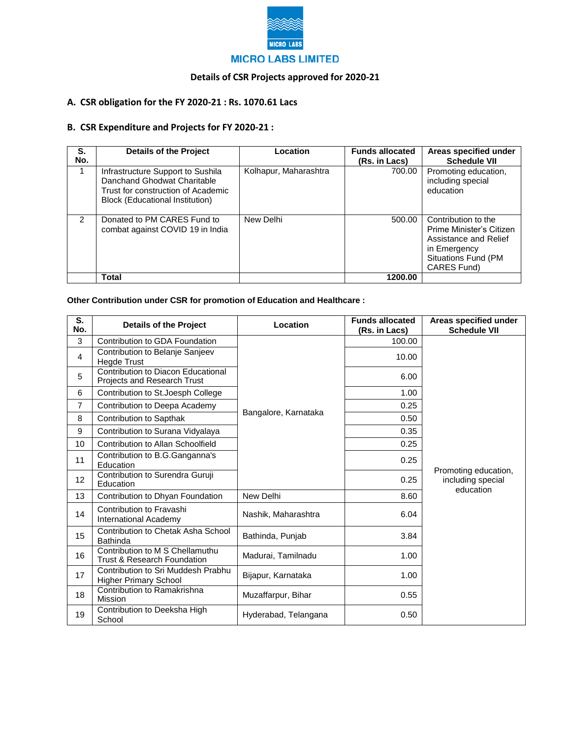

## **Details of CSR Projects approved for 2020-21**

## **A. CSR obligation for the FY 2020-21 : Rs. 1070.61 Lacs**

## **B. CSR Expenditure and Projects for FY 2020-21 :**

| S.<br>No.     | <b>Details of the Project</b>                                                                                                             | Location              | <b>Funds allocated</b><br>(Rs. in Lacs) | Areas specified under<br><b>Schedule VII</b>                                                                                   |
|---------------|-------------------------------------------------------------------------------------------------------------------------------------------|-----------------------|-----------------------------------------|--------------------------------------------------------------------------------------------------------------------------------|
|               | Infrastructure Support to Sushila<br>Danchand Ghodwat Charitable<br>Trust for construction of Academic<br>Block (Educational Institution) | Kolhapur, Maharashtra | 700.00                                  | Promoting education,<br>including special<br>education                                                                         |
| $\mathcal{P}$ | Donated to PM CARES Fund to<br>combat against COVID 19 in India                                                                           | New Delhi             | 500.00                                  | Contribution to the<br>Prime Minister's Citizen<br>Assistance and Relief<br>in Emergency<br>Situations Fund (PM<br>CARES Fund) |
|               | Total                                                                                                                                     |                       | 1200.00                                 |                                                                                                                                |

## **Other Contribution under CSR for promotion of Education and Healthcare :**

| S.<br>No.      | <b>Details of the Project</b>                                      | Location             | <b>Funds allocated</b><br>(Rs. in Lacs) | Areas specified under<br><b>Schedule VII</b>           |
|----------------|--------------------------------------------------------------------|----------------------|-----------------------------------------|--------------------------------------------------------|
| 3              | Contribution to GDA Foundation                                     |                      | 100.00                                  |                                                        |
| 4              | Contribution to Belanje Sanjeev<br><b>Hegde Trust</b>              |                      | 10.00                                   |                                                        |
| 5              | Contribution to Diacon Educational<br>Projects and Research Trust  | Bangalore, Karnataka | 6.00                                    |                                                        |
| 6              | Contribution to St. Joesph College                                 |                      | 1.00                                    |                                                        |
| $\overline{7}$ | Contribution to Deepa Academy                                      |                      | 0.25                                    |                                                        |
| 8              | Contribution to Sapthak                                            |                      | 0.50                                    |                                                        |
| 9              | Contribution to Surana Vidyalaya                                   |                      | 0.35                                    |                                                        |
| 10             | Contribution to Allan Schoolfield                                  |                      | 0.25                                    |                                                        |
| 11             | Contribution to B.G.Ganganna's<br>Education                        |                      | 0.25                                    |                                                        |
| 12             | Contribution to Surendra Guruji<br>Education                       |                      | 0.25                                    | Promoting education,<br>including special<br>education |
| 13             | Contribution to Dhyan Foundation                                   | New Delhi            | 8.60                                    |                                                        |
| 14             | Contribution to Fravashi<br>International Academy                  | Nashik, Maharashtra  | 6.04                                    |                                                        |
| 15             | Contribution to Chetak Asha School<br><b>Bathinda</b>              | Bathinda, Punjab     | 3.84                                    |                                                        |
| 16             | Contribution to M S Chellamuthu<br>Trust & Research Foundation     | Madurai, Tamilnadu   | 1.00                                    |                                                        |
| 17             | Contribution to Sri Muddesh Prabhu<br><b>Higher Primary School</b> | Bijapur, Karnataka   | 1.00                                    |                                                        |
| 18             | Contribution to Ramakrishna<br>Mission                             | Muzaffarpur, Bihar   | 0.55                                    |                                                        |
| 19             | Contribution to Deeksha High<br>School                             | Hyderabad, Telangana | 0.50                                    |                                                        |